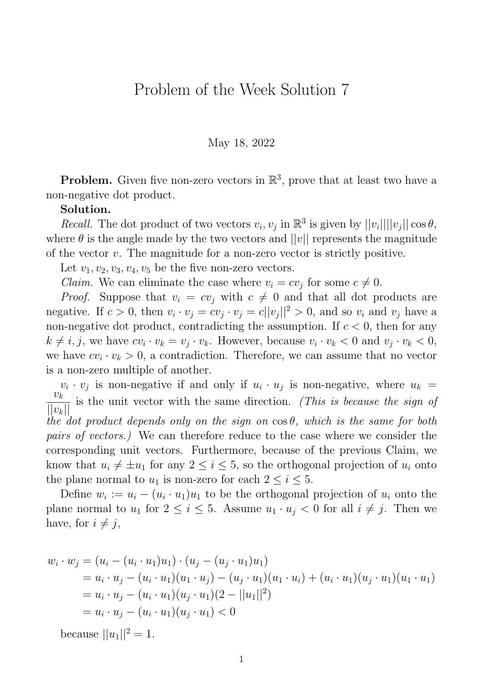## Problem of the Week Solution 7

May 18, 2022

**Problem.** Given five non-zero vectors in  $\mathbb{R}^3$ , prove that at least two have a non-negative dot product.

## Solution.

Recall. The dot product of two vectors  $v_i, v_j$  in  $\mathbb{R}^3$  is given by  $||v_i|| ||v_j|| \cos \theta$ , where  $\theta$  is the angle made by the two vectors and ||v|| represents the magnitude of the vector  $v$ . The magnitude for a non-zero vector is strictly positive.

Let  $v_1, v_2, v_3, v_4, v_5$  be the five non-zero vectors.

*Claim.* We can eliminate the case where  $v_i = cv_j$  for some  $c \neq 0$ .

*Proof.* Suppose that  $v_i = cv_j$  with  $c \neq 0$  and that all dot products are negative. If  $c > 0$ , then  $v_i \cdot v_j = cv_j \cdot v_j = c||v_j||^2 > 0$ , and so  $v_i$  and  $v_j$  have a non-negative dot product, contradicting the assumption. If  $c < 0$ , then for any  $k \neq i, j$ , we have  $cv_i \cdot v_k = v_j \cdot v_k$ . However, because  $v_i \cdot v_k < 0$  and  $v_j \cdot v_k < 0$ , we have  $cv_i \cdot v_k > 0$ , a contradiction. Therefore, we can assume that no vector is a non-zero multiple of another.

 $v_i \cdot v_j$  is non-negative if and only if  $u_i \cdot u_j$  is non-negative, where  $u_k =$  $v_k$  $\frac{\partial E}{\partial |v_k|}$  is the unit vector with the same direction. (This is because the sign of the dot product depends only on the sign on  $\cos \theta$ , which is the same for both pairs of vectors.) We can therefore reduce to the case where we consider the corresponding unit vectors. Furthermore, because of the previous Claim, we know that  $u_i \neq \pm u_1$  for any  $2 \leq i \leq 5$ , so the orthogonal projection of  $u_i$  onto the plane normal to  $u_1$  is non-zero for each  $2 \leq i \leq 5$ .

Define  $w_i := u_i - (u_i \cdot u_1)u_1$  to be the orthogonal projection of  $u_i$  onto the plane normal to  $u_1$  for  $2 \le i \le 5$ . Assume  $u_1 \cdot u_i < 0$  for all  $i \ne j$ . Then we have, for  $i \neq j$ ,

$$
w_i \cdot w_j = (u_i - (u_i \cdot u_1)u_1) \cdot (u_j - (u_j \cdot u_1)u_1)
$$
  
=  $u_i \cdot u_j - (u_i \cdot u_1)(u_1 \cdot u_j) - (u_j \cdot u_1)(u_1 \cdot u_i) + (u_i \cdot u_1)(u_j \cdot u_1)(u_1 \cdot u_1)$   
=  $u_i \cdot u_j - (u_i \cdot u_1)(u_j \cdot u_1)(2 - ||u_1||^2)$   
=  $u_i \cdot u_j - (u_i \cdot u_1)(u_j \cdot u_1) < 0$   
because  $||u_1||^2 = 1$ .